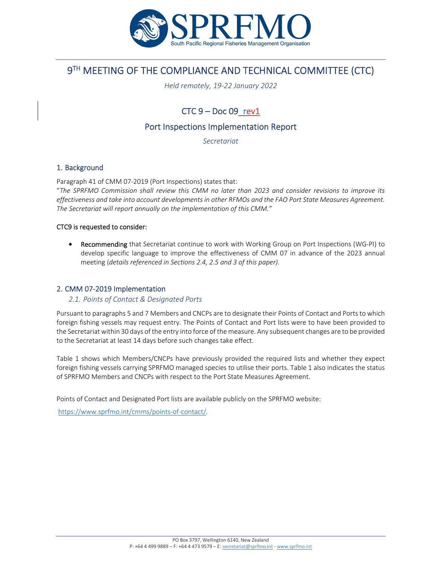

# 9TH MEETING OF THE COMPLIANCE AND TECHNICAL COMMITTEE (CTC)

*Held remotely, 19‐22 January 2022*

## $CTC 9 - Doc 09$  rev1

## Port Inspections Implementation Report

*Secretariat*

## 1. Background

Paragraph 41 of CMM 07‐2019 (Port Inspections) states that:

"*The SPRFMO Commission shall review this CMM no later than 2023 and consider revisions to improve its effectiveness and take into account developments in other RFMOs and the FAO Port State Measures Agreement. The Secretariat will report annually on the implementation of this CMM."*

#### CTC9 is requested to consider:

● Recommending that Secretariat continue to work with Working Group on Port Inspections (WG-PI) to develop specific language to improve the effectiveness of CMM 07 in advance of the 2023 annual meeting (*details referenced in Sections 2.4, 2.5 and 3 of this paper).*

## 2. CMM 07‐2019 Implementation

#### *2.1. Points of Contact & Designated Ports*

Pursuant to paragraphs 5 and 7 Members and CNCPs are to designate their Points of Contact and Ports to which foreign fishing vessels may request entry. The Points of Contact and Port lists were to have been provided to the Secretariat within 30 days of the entry into force of the measure. Any subsequent changes are to be provided to the Secretariat at least 14 days before such changes take effect.

Table 1 shows which Members/CNCPs have previously provided the required lists and whether they expect foreign fishing vessels carrying SPRFMO managed species to utilise their ports. Table 1 also indicates the status of SPRFMO Members and CNCPs with respect to the Port State Measures Agreement.

Points of Contact and Designated Port lists are available publicly on the SPRFMO website:

https://www.sprfmo.int/cmms/points‐of‐contact/.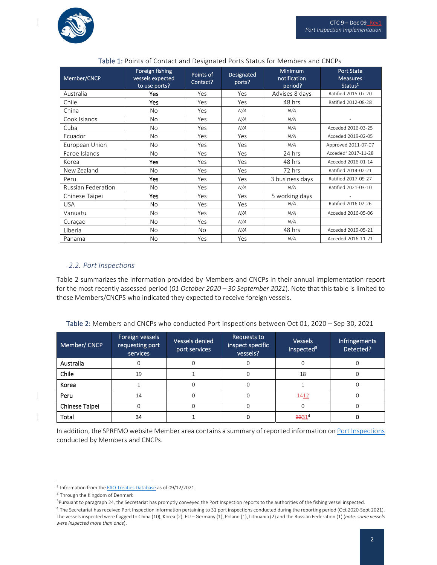$\overline{\phantom{a}}$ 

 $\overline{\phantom{a}}$ 

 $\mathsf{l}$ 

| Member/CNCP               | Foreign fishing<br>vessels expected<br>to use ports? | Points of<br>Contact? | <b>Designated</b><br>ports? | <b>Minimum</b><br>notification<br>period? | <b>Port State</b><br><b>Measures</b><br>Status <sup>1</sup> |
|---------------------------|------------------------------------------------------|-----------------------|-----------------------------|-------------------------------------------|-------------------------------------------------------------|
| Australia                 | Yes                                                  | Yes                   | Yes                         | Advises 8 days                            | Ratified 2015-07-20                                         |
| Chile                     | Yes                                                  | Yes                   | Yes                         | 48 hrs                                    | Ratified 2012-08-28                                         |
| China                     | <b>No</b>                                            | Yes                   | N/A                         | N/A                                       |                                                             |
| Cook Islands              | <b>No</b>                                            | Yes                   | N/A                         | N/A                                       |                                                             |
| Cuba                      | <b>No</b>                                            | Yes                   | N/A                         | N/A                                       | Acceded 2016-03-25                                          |
| Ecuador                   | No                                                   | Yes                   | Yes                         | N/A                                       | Acceded 2019-02-05                                          |
| European Union            | No                                                   | Yes                   | Yes                         | N/A                                       | Approved 2011-07-07                                         |
| Faroe Islands             | <b>No</b>                                            | Yes                   | Yes                         | 24 hrs                                    | Acceded <sup>2</sup> 2017-11-28                             |
| Korea                     | Yes                                                  | Yes                   | Yes                         | 48 hrs                                    | Acceded 2016-01-14                                          |
| New Zealand               | <b>No</b>                                            | Yes                   | Yes                         | 72 hrs                                    | Ratified 2014-02-21                                         |
| Peru                      | Yes                                                  | Yes                   | Yes                         | 3 business days                           | Ratified 2017-09-27                                         |
| <b>Russian Federation</b> | No                                                   | Yes                   | N/A                         | N/A                                       | Ratified 2021-03-10                                         |
| Chinese Taipei            | Yes                                                  | Yes                   | Yes                         | 5 working days                            |                                                             |
| <b>USA</b>                | No                                                   | Yes                   | Yes                         | N/A                                       | Ratified 2016-02-26                                         |
| Vanuatu                   | <b>No</b>                                            | Yes                   | N/A                         | N/A                                       | Acceded 2016-05-06                                          |
| Curaçao                   | <b>No</b>                                            | Yes                   | N/A                         | N/A                                       |                                                             |
| Liberia                   | <b>No</b>                                            | <b>No</b>             | N/A                         | 48 hrs                                    | Acceded 2019-05-21                                          |
| Panama                    | <b>No</b>                                            | Yes                   | Yes                         | N/A                                       | Acceded 2016-11-21                                          |

## Table 1: Points of Contact and Designated Ports Status for Members and CNCPs

## *2.2. Port Inspections*

Table 2 summarizes the information provided by Members and CNCPs in their annual implementation report for the most recently assessed period (*01 October 2020 – 30 September 2021*). Note that this table is limited to those Members/CNCPS who indicated they expected to receive foreign vessels.

| Table 2: Members and CNCPs who conducted Port inspections between Oct 01, 2020 - Sep 30, 2021 |  |  |
|-----------------------------------------------------------------------------------------------|--|--|
|                                                                                               |  |  |

| Member/ CNCP   | Foreign vessels<br>requesting port<br>services | Vessels denied<br>port services | Requests to<br>inspect specific<br>vessels? | <b>Vessels</b><br>Inspected <sup>3</sup> | Infringements<br>Detected? |
|----------------|------------------------------------------------|---------------------------------|---------------------------------------------|------------------------------------------|----------------------------|
| Australia      |                                                | Ω                               | O                                           |                                          |                            |
| Chile          | 19                                             |                                 | $\Omega$                                    | 18                                       |                            |
| Korea          |                                                | N                               | 0                                           |                                          |                            |
| Peru           | 14                                             | $\Omega$                        | $\Omega$                                    | $+412$                                   |                            |
| Chinese Taipei | $\Omega$                                       | N                               | Ω                                           |                                          |                            |
| Total          | 34                                             |                                 |                                             | 3331                                     |                            |

In addition, the SPRFMO website Member area contains a summary of reported information on Port Inspections conducted by Members and CNCPs.

<sup>1</sup> Information from the FAO Treaties Database as of 09/12/2021

<sup>2</sup> Through the Kingdom of Denmark

<sup>&</sup>lt;sup>3</sup>Pursuant to paragraph 24, the Secretariat has promptly conveyed the Port Inspection reports to the authorities of the fishing vessel inspected.

<sup>4</sup> The Secretariat has received Port Inspection information pertaining to 31 port inspections conducted during the reporting period (Oct 2020-Sept 2021). The vessels inspected were flagged to China (10), Korea (2), EU – Germany (1), Poland (1), Lithuania (2) and the Russian Federation (1) (*note: some vessels were inspected more than once*).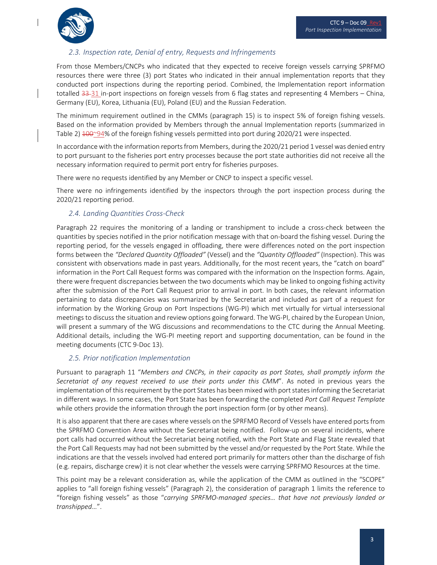

 $\overline{\phantom{a}}$ 

## *2.3. Inspection rate, Denial of entry, Requests and Infringements*

From those Members/CNCPs who indicated that they expected to receive foreign vessels carrying SPRFMO resources there were three (3) port States who indicated in their annual implementation reports that they conducted port inspections during the reporting period. Combined, the Implementation report information totalled 33-31 in-port inspections on foreign vessels from 6 flag states and representing 4 Members – China, Germany (EU), Korea, Lithuania (EU), Poland (EU) and the Russian Federation.

The minimum requirement outlined in the CMMs (paragraph 15) is to inspect 5% of foreign fishing vessels. Based on the information provided by Members through the annual Implementation reports (summarized in Table 2)  $\frac{100}{248}$  of the foreign fishing vessels permitted into port during 2020/21 were inspected.

In accordance with the information reports from Members, during the 2020/21 period 1 vessel was denied entry to port pursuant to the fisheries port entry processes because the port state authorities did not receive all the necessary information required to permit port entry for fisheries purposes.

There were no requests identified by any Member or CNCP to inspect a specific vessel.

There were no infringements identified by the inspectors through the port inspection process during the 2020/21 reporting period.

## *2.4. Landing Quantities Cross‐Check*

Paragraph 22 requires the monitoring of a landing or transhipment to include a cross‐check between the quantities by species notified in the prior notification message with that on‐board the fishing vessel. During the reporting period, for the vessels engaged in offloading, there were differences noted on the port inspection forms between the *"Declared Quantity Offloaded"* (Vessel) and the *"Quantity Offloaded"* (Inspection). This was consistent with observations made in past years. Additionally, for the most recent years, the "catch on board" information in the Port Call Request forms was compared with the information on the Inspection forms. Again, there were frequent discrepancies between the two documents which may be linked to ongoing fishing activity after the submission of the Port Call Request prior to arrival in port. In both cases, the relevant information pertaining to data discrepancies was summarized by the Secretariat and included as part of a request for information by the Working Group on Port Inspections (WG‐PI) which met virtually for virtual intersessional meetings to discussthe situation and review options going forward. The WG‐PI, chaired by the European Union, will present a summary of the WG discussions and recommendations to the CTC during the Annual Meeting. Additional details, including the WG‐PI meeting report and supporting documentation, can be found in the meeting documents (CTC 9‐Doc 13).

## *2.5. Prior notification Implementation*

Pursuant to paragraph 11 "*Members and CNCPs, in their capacity as port States, shall promptly inform the Secretariat of any request received to use their ports under this CMM*". As noted in previous years the implementation of this requirement by the port States has been mixed with port states informing the Secretariat in different ways. In some cases, the Port State has been forwarding the completed *Port Call Request Template* while others provide the information through the port inspection form (or by other means).

It is also apparent that there are cases where vessels on the SPRFMO Record of Vessels have entered ports from the SPRFMO Convention Area without the Secretariat being notified. Follow-up on several incidents, where port calls had occurred without the Secretariat being notified, with the Port State and Flag State revealed that the Port Call Requests may had not been submitted by the vessel and/or requested by the Port State. While the indications are that the vessels involved had entered port primarily for matters other than the discharge of fish (e.g. repairs, discharge crew) it is not clear whether the vessels were carrying SPRFMO Resources at the time.

This point may be a relevant consideration as, while the application of the CMM as outlined in the "SCOPE" applies to "all foreign fishing vessels" (Paragraph 2), the consideration of paragraph 1 limits the reference to "foreign fishing vessels" as those "*carrying SPRFMO‐managed species… that have not previously landed or transhipped*…".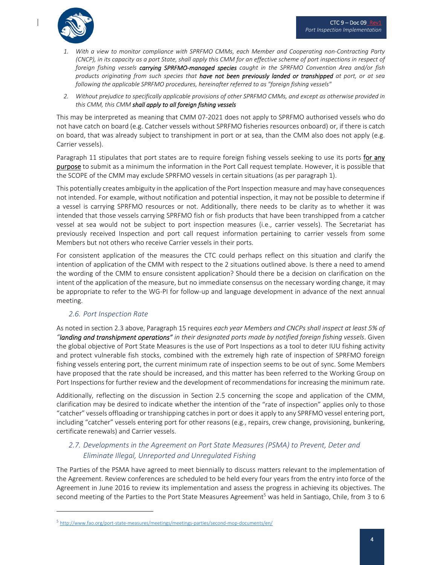

- 1. With a view to monitor compliance with SPRFMO CMMs, each Member and Cooperating non-Contracting Party (CNCP), in its capacity as a port State, shall apply this CMM for an effective scheme of port inspections in respect of foreign fishing vessels carrying SPRFMO-managed species caught in the SPRFMO Convention Area and/or fish products originating from such species that have not been previously landed or transhipped at port, or at sea *following the applicable SPRFMO procedures, hereinafter referred to as "foreign fishing vessels"*
- 2. Without prejudice to specifically applicable provisions of other SPRFMO CMMs, and except as otherwise provided in *this CMM, this CMM shall apply to all foreign fishing vessels*

This may be interpreted as meaning that CMM 07‐2021 does not apply to SPRFMO authorised vessels who do not have catch on board (e.g. Catcher vessels without SPRFMO fisheries resources onboard) or, if there is catch on board, that was already subject to transhipment in port or at sea, than the CMM also does not apply (e.g. Carrier vessels).

Paragraph 11 stipulates that port states are to require foreign fishing vessels seeking to use its ports for any purpose to submit as a minimum the information in the Port Call request template. However, it is possible that the SCOPE of the CMM may exclude SPRFMO vessels in certain situations (as per paragraph 1).

This potentially creates ambiguity in the application of the Port Inspection measure and may have consequences not intended. For example, without notification and potential inspection, it may not be possible to determine if a vessel is carrying SPRFMO resources or not. Additionally, there needs to be clarity as to whether it was intended that those vessels carrying SPRFMO fish or fish products that have been transhipped from a catcher vessel at sea would not be subject to port inspection measures (i.e., carrier vessels). The Secretariat has previously received Inspection and port call request information pertaining to carrier vessels from some Members but not others who receive Carrier vessels in their ports.

For consistent application of the measures the CTC could perhaps reflect on this situation and clarify the intention of application of the CMM with respect to the 2 situations outlined above. Is there a need to amend the wording of the CMM to ensure consistent application? Should there be a decision on clarification on the intent of the application of the measure, but no immediate consensus on the necessary wording change, it may be appropriate to refer to the WG‐PI for follow‐up and language development in advance of the next annual meeting.

## *2.6. Port Inspection Rate*

As noted in section 2.3 above, Paragraph 15 requires *each year Members and CNCPs shall inspect at least 5% of* "landing and transhipment operations" in their designated ports made by notified foreign fishing vessels. Given the global objective of Port State Measures is the use of Port Inspections as a tool to deter IUU fishing activity and protect vulnerable fish stocks, combined with the extremely high rate of inspection of SPRFMO foreign fishing vessels entering port, the current minimum rate of inspection seems to be out of sync. Some Members have proposed that the rate should be increased, and this matter has been referred to the Working Group on Port Inspections for further review and the development of recommendations for increasing the minimum rate.

Additionally, reflecting on the discussion in Section 2.5 concerning the scope and application of the CMM, clarification may be desired to indicate whether the intention of the "rate of inspection" applies only to those "catcher" vessels offloading or transhipping catchesin port or does it apply to any SPRFMO vessel entering port, including "catcher" vessels entering port for other reasons (e.g., repairs, crew change, provisioning, bunkering, certificate renewals) and Carrier vessels.

## *2.7. Developments in the Agreement on Port State Measures (PSMA) to Prevent, Deter and Eliminate Illegal, Unreported and Unregulated Fishing*

The Parties of the PSMA have agreed to meet biennially to discuss matters relevant to the implementation of the Agreement. Review conferences are scheduled to be held every four years from the entry into force of the Agreement in June 2016 to review its implementation and assess the progress in achieving its objectives. The second meeting of the Parties to the Port State Measures Agreement<sup>5</sup> was held in Santiago, Chile, from 3 to 6

<sup>5</sup> http://www.fao.org/port-state-measures/meetings/meetings-parties/second-mop-documents/en/